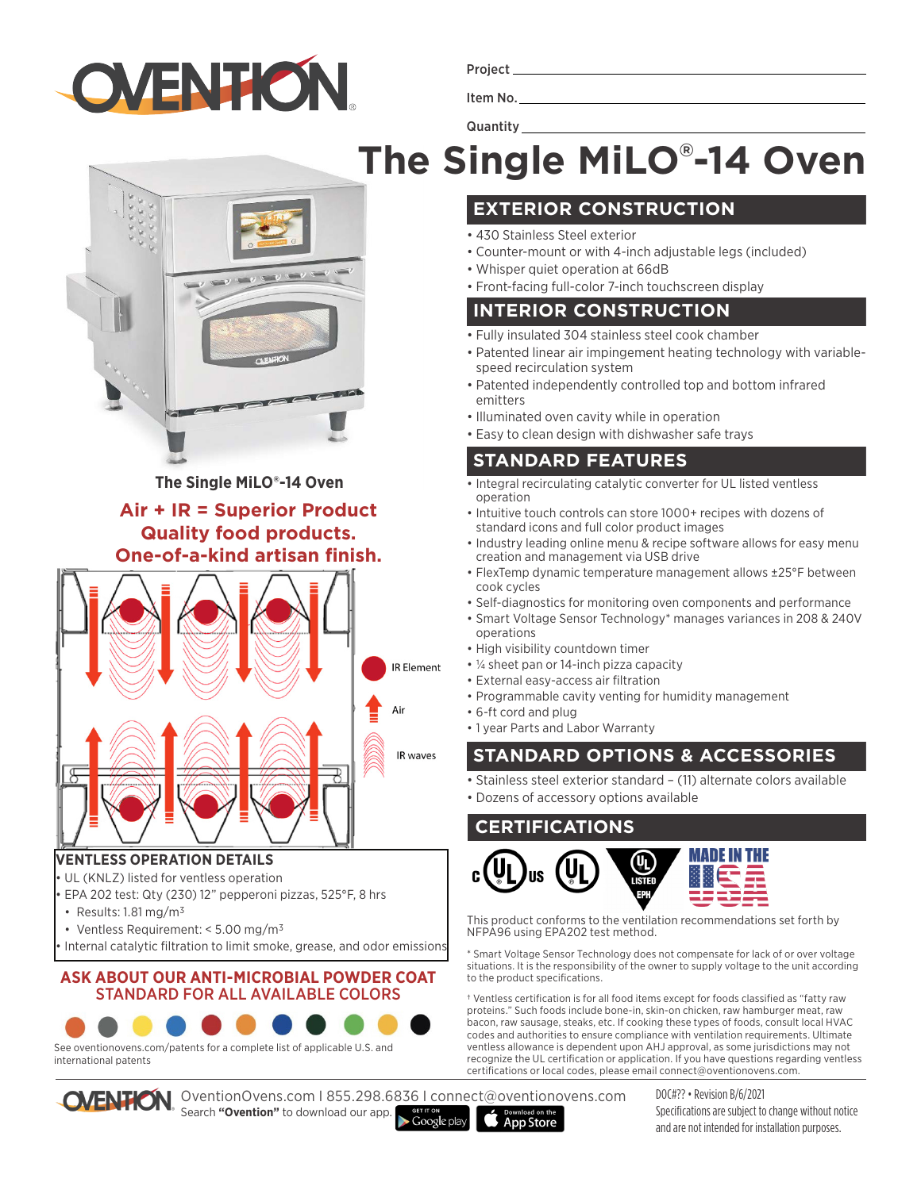

Project

Item No.

**Quantity** 

# **The Single MiLO® -14 Oven**

# **EXTERIOR CONSTRUCTION**

- 430 Stainless Steel exterior
- Counter-mount or with 4-inch adjustable legs (included)
- Whisper quiet operation at 66dB
- Front-facing full-color 7-inch touchscreen display

### **INTERIOR CONSTRUCTION**

- Fully insulated 304 stainless steel cook chamber
- Patented linear air impingement heating technology with variablespeed recirculation system
- Patented independently controlled top and bottom infrared emitters
- Illuminated oven cavity while in operation
- Easy to clean design with dishwasher safe trays

## **STANDARD FEATURES**

- Integral recirculating catalytic converter for UL listed ventless operation
- Intuitive touch controls can store 1000+ recipes with dozens of standard icons and full color product images
- Industry leading online menu & recipe software allows for easy menu creation and management via USB drive
- FlexTemp dynamic temperature management allows ±25°F between cook cycles
- Self-diagnostics for monitoring oven components and performance
- Smart Voltage Sensor Technology\* manages variances in 208 & 240V operations
- High visibility countdown timer
- ¼ sheet pan or 14-inch pizza capacity
- External easy-access air filtration
- Programmable cavity venting for humidity management
- 6-ft cord and plug

**App Store** 

• 1 year Parts and Labor Warranty

# **STANDARD OPTIONS & ACCESSORIES**

• Stainless steel exterior standard – (11) alternate colors available

• Dozens of accessory options available

### **CERTIFICATIONS**



This product conforms to the ventilation recommendations set forth by NFPA96 using EPA202 test method.

\* Smart Voltage Sensor Technology does not compensate for lack of or over voltage situations. It is the responsibility of the owner to supply voltage to the unit according to the product specifications.

† Ventless certification is for all food items except for foods classified as "fatty raw proteins." Such foods include bone-in, skin-on chicken, raw hamburger meat, raw bacon, raw sausage, steaks, etc. If cooking these types of foods, consult local HVAC codes and authorities to ensure compliance with ventilation requirements. Ultimate ventless allowance is dependent upon AHJ approval, as some jurisdictions may not recognize the UL certification or application. If you have questions regarding ventless certifications or local codes, please email connect@oventionovens.com.

**The Single MiLO®-14 Oven Air + IR = Superior Product**

#### **Quality food products. One-of-a-kind artisan finish.**



#### **VENTLESS OPERATION DETAILS**

- UL (KNLZ) listed for ventless operation
- EPA 202 test: Qty (230) 12" pepperoni pizzas, 525°F, 8 hrs
- Results: 1.81 mg/m3
- Ventless Requirement: < 5.00 mg/m3
- Internal catalytic filtration to limit smoke, grease, and odor emissions

#### **ASK ABOUT OUR ANTI-MICROBIAL POWDER COAT**  STANDARD FOR ALL AVAILABLE COLORS



See oventionovens.com/patents for a complete list of applicable U.S. and international patents



OventionOvens.com I 855.298.6836 I connect@oventionovens.com Search **"Ovention"** to download our app.

 $\blacktriangleright$  Google play

DOC#?? • Revision B/6/2021 Specifications are subject to change without notice and are not intended for installation purposes.